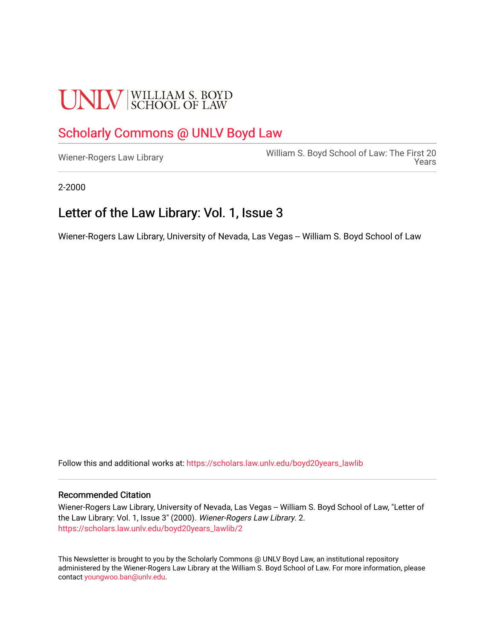## **UNLV** SCHOOL OF LAW

#### [Scholarly Commons @ UNLV Boyd Law](https://scholars.law.unlv.edu/)

William S. Boyd School of Law: The First 20<br>[Wiener-Rogers Law Library](https://scholars.law.unlv.edu/boyd20years_lawlib) [Years](https://scholars.law.unlv.edu/boyd20years) 

2-2000

#### Letter of the Law Library: Vol. 1, Issue 3

Wiener-Rogers Law Library, University of Nevada, Las Vegas -- William S. Boyd School of Law

Follow this and additional works at: [https://scholars.law.unlv.edu/boyd20years\\_lawlib](https://scholars.law.unlv.edu/boyd20years_lawlib?utm_source=scholars.law.unlv.edu%2Fboyd20years_lawlib%2F2&utm_medium=PDF&utm_campaign=PDFCoverPages)

#### Recommended Citation

Wiener-Rogers Law Library, University of Nevada, Las Vegas -- William S. Boyd School of Law, "Letter of the Law Library: Vol. 1, Issue 3" (2000). Wiener-Rogers Law Library. 2. [https://scholars.law.unlv.edu/boyd20years\\_lawlib/2](https://scholars.law.unlv.edu/boyd20years_lawlib/2?utm_source=scholars.law.unlv.edu%2Fboyd20years_lawlib%2F2&utm_medium=PDF&utm_campaign=PDFCoverPages)

This Newsletter is brought to you by the Scholarly Commons @ UNLV Boyd Law, an institutional repository administered by the Wiener-Rogers Law Library at the William S. Boyd School of Law. For more information, please contact [youngwoo.ban@unlv.edu](mailto:youngwoo.ban@unlv.edu).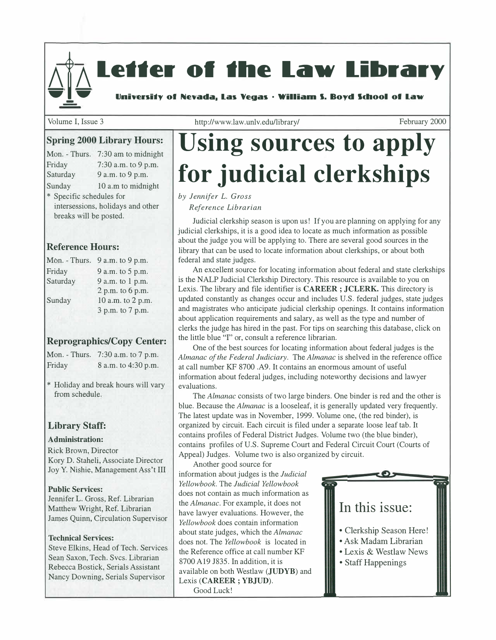# Letter of the Law Library

Volume I, Issue 3

http://www.law.unlv.edu/library/ February 2000

#### **Spring 2000 Library Hours:**

| Mon. - Thurs.            | 7:30 am to midnight               |
|--------------------------|-----------------------------------|
| Friday                   | 7:30 a.m. to 9 p.m.               |
| Saturday                 | 9 a.m. to 9 p.m.                  |
| Sunday                   | 10 a.m to midnight                |
| * Specific schedules for |                                   |
|                          | intersessions, holidays and other |
| breaks will be posted.   |                                   |
|                          |                                   |

#### **Reference Hours:**

| Mon. - Thurs. | 9 a.m. to 9 p.m.  |  |
|---------------|-------------------|--|
| Friday        | 9 a.m. to 5 p.m.  |  |
| Saturday      | 9 a.m. to 1 p.m.  |  |
|               | 2 p.m. to 6 p.m.  |  |
| Sunday        | 10 a.m. to 2 p.m. |  |
|               | 3 p.m. to 7 p.m.  |  |

#### **Reprographics/Copy Center:**

Mon. -Thurs. 7:30 a.m. to 7 p.m. Friday 8 a.m. to 4:30 p.m.

\* Holiday and break hours will vary from schedule.

#### **Library Staff:**

#### **Administration:**

Rick Brown, Director Kory D. Staheli, Associate Director Joy Y. Nishie, Management Ass 't III

#### **Public Services:**

Jennifer L. Gross, Ref. Librarian Matthew Wright, Ref. Librarian James Quinn, Circulation Supervisor

#### **Technical Services:**

Steve Elkins, Head of Tech; Services Sean Saxon, Tech. Svcs. Librarian Rebecca Bostick, Serials Assistant Nancy Downing, Serials Supervisor

# **Using sources to apply for judicial clerkships**

#### *by Jennifer L. Gross*

*Reference Librarian* 

Judicial clerkship season is upon us! If you are planning on applying for any judicial clerkships, it is a good idea to locate as much information as possible about the judge you will be applying to. There are several good sources in the library that can be used to locate information about clerkships, or about both federal and state judges.

An excellent source for locating information about federal and state clerkships is the NALP Judicial Clerkship Directory. This resource is available to you on Lexis. The library and file identifier is **CAREER; JCLERK.** This directory is updated constantly as changes occur and includes U.S. federal judges, state judges and magistrates who anticipate judicial clerkship openings. It contains information about application requirements and salary, as well as the type and number of clerks the judge has hired in the past. For tips on searching this database, click on the little blue "I" or, consult a reference librarian.

One of the best sources for locating information about federal judges is the *Almanac of the Federal Judiciary.* The *Almanac* is shelved in the reference office at call number KF 8700 .A9. It contains an enormous amount of useful information about federal judges, including noteworthy decisions and lawyer evaluations.

The *Almanac* consists of two large binders. One binder is red and the other is blue. Because the *Almanac* is a looseleaf, it is generally updated very frequently. The latest update was in November, 1999. Volume one, (the red binder), is organized by circuit. Each circuit is filed under a separate loose leaf tab. It contains profiles of Federal District Judges. Volume two (the blue binder), contains profiles of U.S. Supreme Court and Federal Circuit Court (Courts of Appeal) Judges. Volume two is also organized by circuit.

Another good source for information about judges is the *Judicial Yellowbook.* The *Judicial Yellowbook*  does not contain as much information as the *Almanac.* For example, it does not have lawyer evaluations. However, the *Yellowbook* does contain information about state judges, which the *Almanac*  does not. The *Yellowbook* is located in the Reference office at call number KF 8700 Al9 J835. In addition, it is available on both Westlaw **(JUDYB)** and Lexis **(CAREER; YBJUD).**  Good Luck!

#### **In this issue:**

- Clerkship Season Here!
- Ask Madam Librarian
- Lexis & Westlaw News
- Staff Happenings